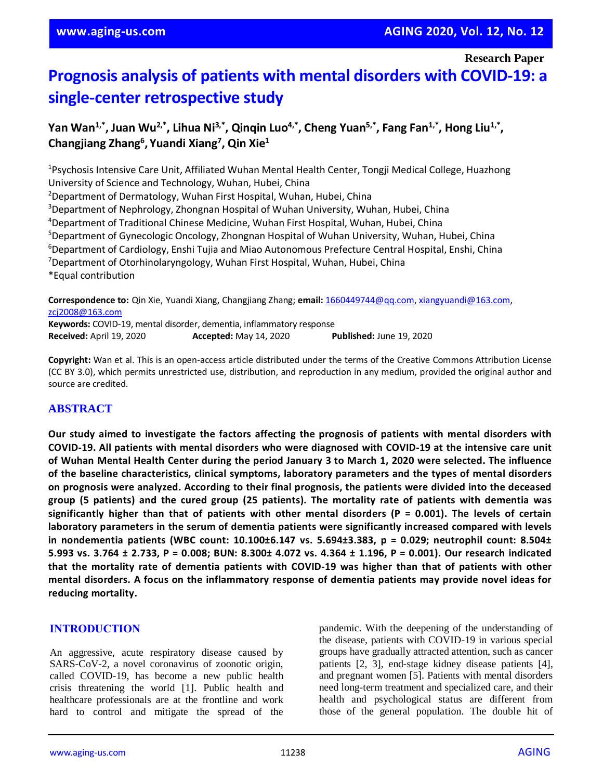**Research Paper**

# **Prognosis analysis of patients with mental disorders with COVID-19: a single-center retrospective study**

**Yan Wan1,\* , Juan Wu2,\* , Lihua Ni3,\* , Qinqin Luo4,\* , Cheng Yuan5,\* , Fang Fan1,\* , Hong Liu1,\* , Changjiang Zhang<sup>6</sup> , Yuandi Xiang<sup>7</sup> , Qin Xie<sup>1</sup>**

<sup>1</sup>Psychosis Intensive Care Unit, Affiliated Wuhan Mental Health Center, Tongji Medical College, Huazhong University of Science and Technology, Wuhan, Hubei, China <sup>2</sup>Department of Dermatology, Wuhan First Hospital, Wuhan, Hubei, China <sup>3</sup>Department of Nephrology, Zhongnan Hospital of Wuhan University, Wuhan, Hubei, China <sup>4</sup>Department of Traditional Chinese Medicine, Wuhan First Hospital, Wuhan, Hubei, China <sup>5</sup>Department of Gynecologic Oncology, Zhongnan Hospital of Wuhan University, Wuhan, Hubei, China <sup>6</sup>Department of Cardiology, Enshi Tujia and Miao Autonomous Prefecture Central Hospital, Enshi, China <sup>7</sup>Department of Otorhinolaryngology, Wuhan First Hospital, Wuhan, Hubei, China \*Equal contribution

**Correspondence to:** Qin Xie, Yuandi Xiang, Changjiang Zhang; **email:** [1660449744@qq.com,](mailto:1660449744@qq.com) [xiangyuandi@163.com,](mailto:xiangyuandi@163.com) [zcj2008@163.com](mailto:zcj2008@163.com)

**Keywords:** COVID-19, mental disorder, dementia, inflammatory response **Received:** April 19, 2020 **Accepted:** May 14, 2020 **Published:** June 19, 2020

**Copyright:** Wan et al. This is an open-access article distributed under the terms of the Creative Commons Attribution License (CC BY 3.0), which permits unrestricted use, distribution, and reproduction in any medium, provided the original author and source are credited.

# **ABSTRACT**

**Our study aimed to investigate the factors affecting the prognosis of patients with mental disorders with COVID-19. All patients with mental disorders who were diagnosed with COVID-19 at the intensive care unit** of Wuhan Mental Health Center during the period January 3 to March 1, 2020 were selected. The influence **of the baseline characteristics, clinical symptoms, laboratory parameters and the types of mental disorders on prognosis were analyzed. According to their final prognosis, the patients were divided into the deceased group (5 patients) and the cured group (25 patients). The mortality rate of patients with dementia was significantly higher than that of patients with other mental disorders (P = 0.001). The levels of certain laboratory parameters in the serum of dementia patients were significantly increased compared with levels in nondementia patients (WBC count: 10.100±6.147 vs. 5.694±3.383, p = 0.029; neutrophil count: 8.504±** 5.993 vs. 3.764 ± 2.733, P = 0.008; BUN: 8.300± 4.072 vs. 4.364 ± 1.196, P = 0.001). Our research indicated **that the mortality rate of dementia patients with COVID-19 was higher than that of patients with other mental disorders. A focus on the inflammatory response of dementia patients may provide novel ideas for reducing mortality.**

#### **INTRODUCTION**

An aggressive, acute respiratory disease caused by SARS-CoV-2, a novel coronavirus of zoonotic origin, called COVID-19, has become a new public health crisis threatening the world [1]. Public health and healthcare professionals are at the frontline and work hard to control and mitigate the spread of the pandemic. With the deepening of the understanding of the disease, patients with COVID-19 in various special groups have gradually attracted attention, such as cancer patients [2, 3], end-stage kidney disease patients [4], and pregnant women [5]. Patients with mental disorders need long-term treatment and specialized care, and their health and psychological status are different from those of the general population. The double hit of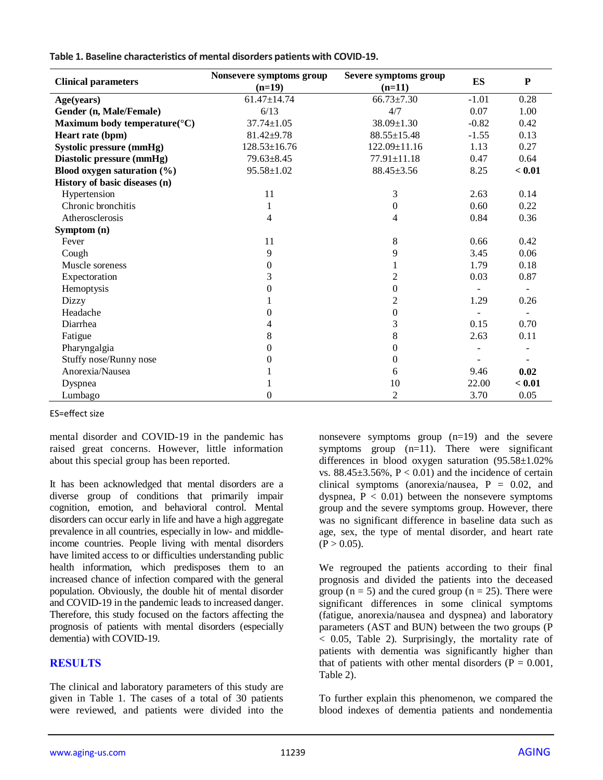| <b>Clinical parameters</b>                | Nonsevere symptoms group | Severe symptoms group | <b>ES</b> | P      |
|-------------------------------------------|--------------------------|-----------------------|-----------|--------|
|                                           | $(n=19)$                 | $(n=11)$              |           |        |
| Age(years)                                | $61.47 \pm 14.74$        | $66.73 \pm 7.30$      | $-1.01$   | 0.28   |
| Gender (n, Male/Female)                   | 6/13                     | 4/7                   | 0.07      | 1.00   |
| Maximum body temperature( ${}^{\circ}$ C) | $37.74 \pm 1.05$         | 38.09±1.30            | $-0.82$   | 0.42   |
| Heart rate (bpm)                          | $81.42 \pm 9.78$         | 88.55±15.48           | $-1.55$   | 0.13   |
| Systolic pressure (mmHg)                  | $128.53 \pm 16.76$       | $122.09 \pm 11.16$    | 1.13      | 0.27   |
| Diastolic pressure (mmHg)                 | $79.63 \pm 8.45$         | $77.91 \pm 11.18$     | 0.47      | 0.64   |
| Blood oxygen saturation $(\% )$           | $95.58 \pm 1.02$         | 88.45±3.56            | 8.25      | < 0.01 |
| History of basic diseases (n)             |                          |                       |           |        |
| Hypertension                              | 11                       | 3                     | 2.63      | 0.14   |
| Chronic bronchitis                        | 1                        | 0                     | 0.60      | 0.22   |
| Atherosclerosis                           | 4                        | 4                     | 0.84      | 0.36   |
| Symptom (n)                               |                          |                       |           |        |
| Fever                                     | 11                       | 8                     | 0.66      | 0.42   |
| Cough                                     | 9                        | 9                     | 3.45      | 0.06   |
| Muscle soreness                           | $\overline{0}$           |                       | 1.79      | 0.18   |
| Expectoration                             | 3                        | 2                     | 0.03      | 0.87   |
| Hemoptysis                                | 0                        | $\overline{0}$        |           |        |
| Dizzy                                     |                          | 2                     | 1.29      | 0.26   |
| Headache                                  | $\overline{0}$           | 0                     |           |        |
| Diarrhea                                  | 4                        | 3                     | 0.15      | 0.70   |
| Fatigue                                   | 8                        | 8                     | 2.63      | 0.11   |
| Pharyngalgia                              | 0                        | 0                     |           |        |
| Stuffy nose/Runny nose                    | $\theta$                 | 0                     |           |        |
| Anorexia/Nausea                           |                          | 6                     | 9.46      | 0.02   |
| <b>Dyspnea</b>                            |                          | 10                    | 22.00     | < 0.01 |
| Lumbago                                   | $\overline{0}$           | 2                     | 3.70      | 0.05   |

**Table 1. Baseline characteristics of mental disorders patients with COVID-19.**

ES=effect size

mental disorder and COVID-19 in the pandemic has raised great concerns. However, little information about this special group has been reported.

It has been acknowledged that mental disorders are a diverse group of conditions that primarily impair cognition, emotion, and behavioral control. Mental disorders can occur early in life and have a high aggregate prevalence in all countries, especially in low- and middleincome countries. People living with mental disorders have limited access to or difficulties understanding public health information, which predisposes them to an increased chance of infection compared with the general population. Obviously, the double hit of mental disorder and COVID-19 in the pandemic leads to increased danger. Therefore, this study focused on the factors affecting the prognosis of patients with mental disorders (especially dementia) with COVID-19.

# **RESULTS**

The clinical and laboratory parameters of this study are given in Table 1. The cases of a total of 30 patients were reviewed, and patients were divided into the nonsevere symptoms group (n=19) and the severe symptoms group  $(n=11)$ . There were significant differences in blood oxygen saturation  $(95.58 \pm 1.02\%)$ vs.  $88.45 \pm 3.56\%$ ,  $P < 0.01$ ) and the incidence of certain clinical symptoms (anorexia/nausea, P = 0.02, and dyspnea,  $P < 0.01$ ) between the nonsevere symptoms group and the severe symptoms group. However, there was no significant difference in baseline data such as age, sex, the type of mental disorder, and heart rate  $(P > 0.05)$ .

We regrouped the patients according to their final prognosis and divided the patients into the deceased group ( $n = 5$ ) and the cured group ( $n = 25$ ). There were significant differences in some clinical symptoms (fatigue, anorexia/nausea and dyspnea) and laboratory parameters (AST and BUN) between the two groups (P < 0.05, Table 2). Surprisingly, the mortality rate of patients with dementia was significantly higher than that of patients with other mental disorders ( $P = 0.001$ , Table 2).

To further explain this phenomenon, we compared the blood indexes of dementia patients and nondementia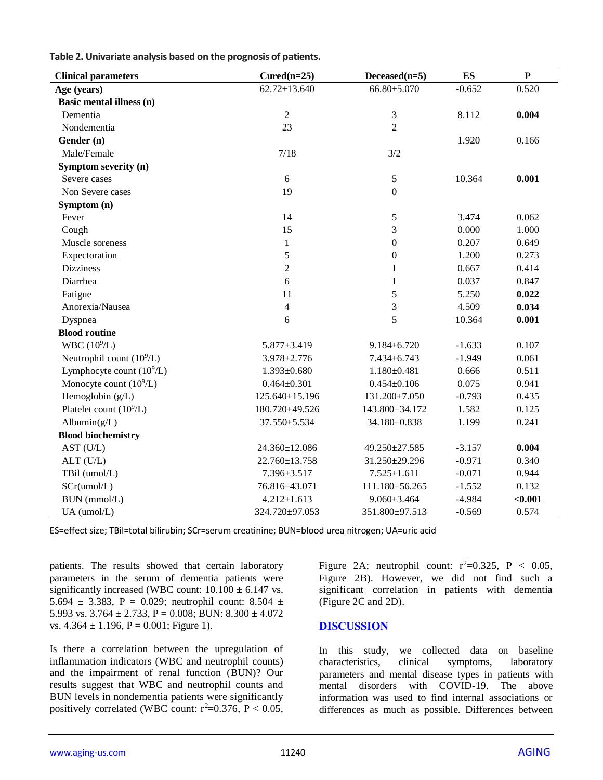| Table 2. Univariate analysis based on the prognosis of patients. |  |
|------------------------------------------------------------------|--|
|------------------------------------------------------------------|--|

| <b>Clinical parameters</b>  | $Cured(n=25)$      | $Deceased(n=5)$   | <b>ES</b> | ${\bf P}$ |
|-----------------------------|--------------------|-------------------|-----------|-----------|
| Age (years)                 | $62.72 \pm 13.640$ | 66.80±5.070       | $-0.652$  | 0.520     |
| Basic mental illness (n)    |                    |                   |           |           |
| Dementia                    | $\sqrt{2}$         | $\mathfrak{Z}$    | 8.112     | 0.004     |
| Nondementia                 | 23                 | $\overline{2}$    |           |           |
| Gender (n)                  |                    |                   | 1.920     | 0.166     |
| Male/Female                 | 7/18               | 3/2               |           |           |
| Symptom severity (n)        |                    |                   |           |           |
| Severe cases                | 6                  | $\mathfrak s$     | 10.364    | 0.001     |
| Non Severe cases            | 19                 | $\mathbf{0}$      |           |           |
| Symptom (n)                 |                    |                   |           |           |
| Fever                       | 14                 | 5                 | 3.474     | 0.062     |
| Cough                       | 15                 | 3                 | 0.000     | 1.000     |
| Muscle soreness             | $\mathbf{1}$       | $\boldsymbol{0}$  | 0.207     | 0.649     |
| Expectoration               | 5                  | $\boldsymbol{0}$  | 1.200     | 0.273     |
| <b>Dizziness</b>            | $\overline{c}$     | 1                 | 0.667     | 0.414     |
| Diarrhea                    | 6                  | $\mathbf{1}$      | 0.037     | 0.847     |
| Fatigue                     | 11                 | 5                 | 5.250     | 0.022     |
| Anorexia/Nausea             | $\overline{4}$     | 3                 | 4.509     | 0.034     |
| Dyspnea                     | 6                  | 5                 | 10.364    | 0.001     |
| <b>Blood routine</b>        |                    |                   |           |           |
| WBC $(10^9/L)$              | 5.877±3.419        | $9.184 \pm 6.720$ | $-1.633$  | 0.107     |
| Neutrophil count $(10^9/L)$ | 3.978±2.776        | 7.434±6.743       | $-1.949$  | 0.061     |
| Lymphocyte count $(10^9/L)$ | $1.393 \pm 0.680$  | $1.180 \pm 0.481$ | 0.666     | 0.511     |
| Monocyte count $(10^9/L)$   | $0.464 \pm 0.301$  | $0.454 \pm 0.106$ | 0.075     | 0.941     |
| Hemoglobin (g/L)            | 125.640±15.196     | 131.200±7.050     | $-0.793$  | 0.435     |
| Platelet count $(10^9/L)$   | 180.720±49.526     | 143.800±34.172    | 1.582     | 0.125     |
| Albumin $(g/L)$             | 37.550±5.534       | 34.180±0.838      | 1.199     | 0.241     |
| <b>Blood biochemistry</b>   |                    |                   |           |           |
| AST (U/L)                   | 24.360±12.086      | 49.250±27.585     | $-3.157$  | 0.004     |
| ALT (U/L)                   | 22.760±13.758      | 31.250±29.296     | $-0.971$  | 0.340     |
| TBil (umol/L)               | 7.396±3.517        | $7.525 \pm 1.611$ | $-0.071$  | 0.944     |
| SCr(umol/L)                 | 76.816±43.071      | 111.180±56.265    | $-1.552$  | 0.132     |
| BUN (mmol/L)                | $4.212 \pm 1.613$  | $9.060 \pm 3.464$ | $-4.984$  | < 0.001   |
| UA (umol/L)                 | 324.720±97.053     | 351.800±97.513    | $-0.569$  | 0.574     |

ES=effect size; TBil=total bilirubin; SCr=serum creatinine; BUN=blood urea nitrogen; UA=uric acid

patients. The results showed that certain laboratory parameters in the serum of dementia patients were significantly increased (WBC count:  $10.100 \pm 6.147$  vs. 5.694  $\pm$  3.383, P = 0.029; neutrophil count: 8.504  $\pm$ 5.993 vs.  $3.764 \pm 2.733$ , P = 0.008; BUN:  $8.300 \pm 4.072$ vs.  $4.364 \pm 1.196$ ,  $P = 0.001$ ; Figure 1).

Is there a correlation between the upregulation of inflammation indicators (WBC and neutrophil counts) and the impairment of renal function (BUN)? Our results suggest that WBC and neutrophil counts and BUN levels in nondementia patients were significantly positively correlated (WBC count:  $r^2=0.376$ ,  $P < 0.05$ , Figure 2A; neutrophil count:  $r^2=0.325$ ,  $P < 0.05$ , Figure 2B). However, we did not find such a significant correlation in patients with dementia (Figure 2C and 2D).

## **DISCUSSION**

In this study, we collected data on baseline characteristics, clinical symptoms, laboratory parameters and mental disease types in patients with mental disorders with COVID-19. The above information was used to find internal associations or differences as much as possible. Differences between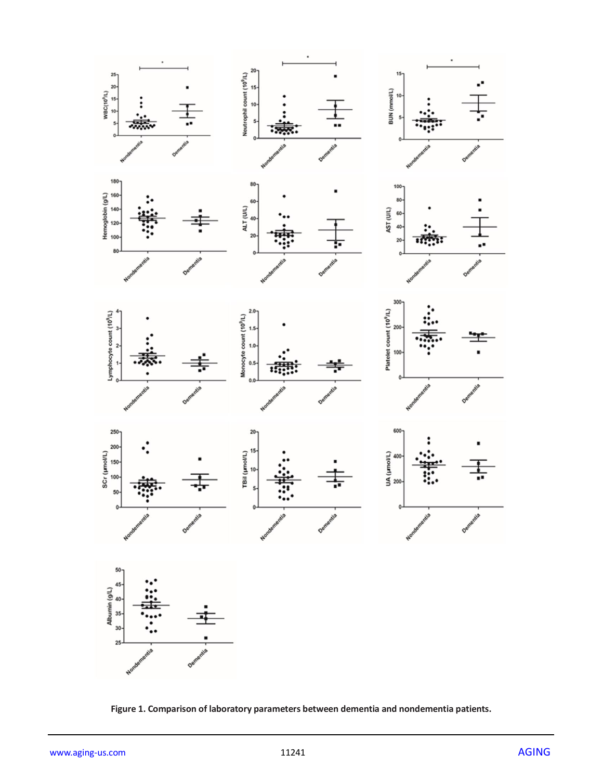

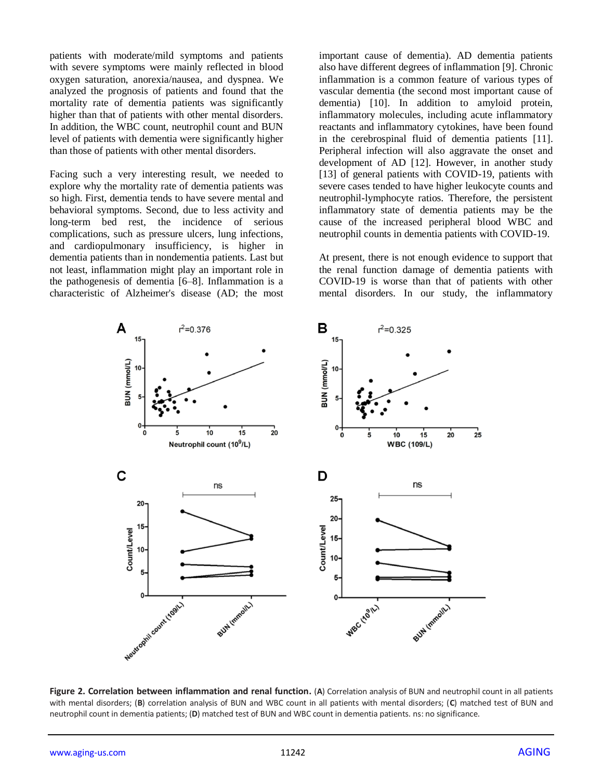patients with moderate/mild symptoms and patients with severe symptoms were mainly reflected in blood oxygen saturation, anorexia/nausea, and dyspnea. We analyzed the prognosis of patients and found that the mortality rate of dementia patients was significantly higher than that of patients with other mental disorders. In addition, the WBC count, neutrophil count and BUN level of patients with dementia were significantly higher than those of patients with other mental disorders.

Facing such a very interesting result, we needed to explore why the mortality rate of dementia patients was so high. First, dementia tends to have severe mental and behavioral symptoms. Second, due to less activity and long-term bed rest, the incidence of serious complications, such as pressure ulcers, lung infections, and cardiopulmonary insufficiency, is higher in dementia patients than in nondementia patients. Last but not least, inflammation might play an important role in the pathogenesis of dementia [6–8]. Inflammation is a characteristic of Alzheimer's disease (AD; the most important cause of dementia). AD dementia patients also have different degrees of inflammation [9]. Chronic inflammation is a common feature of various types of vascular dementia (the second most important cause of dementia) [10]. In addition to amyloid protein, inflammatory molecules, including acute inflammatory reactants and inflammatory cytokines, have been found in the cerebrospinal fluid of dementia patients [11]. Peripheral infection will also aggravate the onset and development of AD [12]. However, in another study [13] of general patients with COVID-19, patients with severe cases tended to have higher leukocyte counts and neutrophil-lymphocyte ratios. Therefore, the persistent inflammatory state of dementia patients may be the cause of the increased peripheral blood WBC and neutrophil counts in dementia patients with COVID-19.

At present, there is not enough evidence to support that the renal function damage of dementia patients with COVID-19 is worse than that of patients with other mental disorders. In our study, the inflammatory



**Figure 2. Correlation between inflammation and renal function.** (**A**) Correlation analysis of BUN and neutrophil count in all patients with mental disorders; (**B**) correlation analysis of BUN and WBC count in all patients with mental disorders; (**C**) matched test of BUN and neutrophil count in dementia patients; (**D**) matched test of BUN and WBC count in dementia patients. ns: no significance.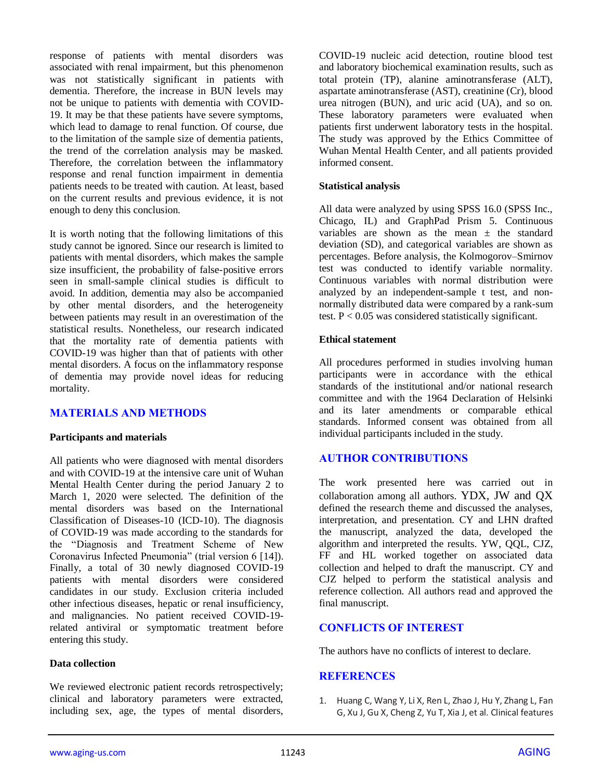response of patients with mental disorders was associated with renal impairment, but this phenomenon was not statistically significant in patients with dementia. Therefore, the increase in BUN levels may not be unique to patients with dementia with COVID-19. It may be that these patients have severe symptoms, which lead to damage to renal function. Of course, due to the limitation of the sample size of dementia patients, the trend of the correlation analysis may be masked. Therefore, the correlation between the inflammatory response and renal function impairment in dementia patients needs to be treated with caution. At least, based on the current results and previous evidence, it is not enough to deny this conclusion.

It is worth noting that the following limitations of this study cannot be ignored. Since our research is limited to patients with mental disorders, which makes the sample size insufficient, the probability of false-positive errors seen in small-sample clinical studies is difficult to avoid. In addition, dementia may also be accompanied by other mental disorders, and the heterogeneity between patients may result in an overestimation of the statistical results. Nonetheless, our research indicated that the mortality rate of dementia patients with COVID-19 was higher than that of patients with other mental disorders. A focus on the inflammatory response of dementia may provide novel ideas for reducing mortality.

## **MATERIALS AND METHODS**

#### **Participants and materials**

All patients who were diagnosed with mental disorders and with COVID-19 at the intensive care unit of Wuhan Mental Health Center during the period January 2 to March 1, 2020 were selected. The definition of the mental disorders was based on the International Classification of Diseases-10 (ICD-10). The diagnosis of COVID-19 was made according to the standards for the "Diagnosis and Treatment Scheme of New Coronavirus Infected Pneumonia" (trial version 6 [14]). Finally, a total of 30 newly diagnosed COVID-19 patients with mental disorders were considered candidates in our study. Exclusion criteria included other infectious diseases, hepatic or renal insufficiency, and malignancies. No patient received COVID-19 related antiviral or symptomatic treatment before entering this study.

## **Data collection**

We reviewed electronic patient records retrospectively; clinical and laboratory parameters were extracted, including sex, age, the types of mental disorders, COVID-19 nucleic acid detection, routine blood test and laboratory biochemical examination results, such as total protein (TP), alanine aminotransferase (ALT), aspartate aminotransferase (AST), creatinine (Cr), blood urea nitrogen (BUN), and uric acid (UA), and so on. These laboratory parameters were evaluated when patients first underwent laboratory tests in the hospital. The study was approved by the Ethics Committee of Wuhan Mental Health Center, and all patients provided informed consent.

#### **Statistical analysis**

All data were analyzed by using SPSS 16.0 (SPSS Inc., Chicago, IL) and GraphPad Prism 5. Continuous variables are shown as the mean  $\pm$  the standard deviation (SD), and categorical variables are shown as percentages. Before analysis, the Kolmogorov–Smirnov test was conducted to identify variable normality. Continuous variables with normal distribution were analyzed by an independent-sample t test, and nonnormally distributed data were compared by a rank-sum test.  $P < 0.05$  was considered statistically significant.

#### **Ethical statement**

All procedures performed in studies involving human participants were in accordance with the ethical standards of the institutional and/or national research committee and with the 1964 Declaration of Helsinki and its later amendments or comparable ethical standards. Informed consent was obtained from all individual participants included in the study.

## **AUTHOR CONTRIBUTIONS**

The work presented here was carried out in collaboration among all authors. YDX, JW and QX defined the research theme and discussed the analyses, interpretation, and presentation. CY and LHN drafted the manuscript, analyzed the data, developed the algorithm and interpreted the results. YW, QQL, CJZ, FF and HL worked together on associated data collection and helped to draft the manuscript. CY and CJZ helped to perform the statistical analysis and reference collection. All authors read and approved the final manuscript.

# **CONFLICTS OF INTEREST**

The authors have no conflicts of interest to declare.

## **REFERENCES**

1. Huang C, Wang Y, Li X, Ren L, Zhao J, Hu Y, Zhang L, Fan G, Xu J, Gu X, Cheng Z, Yu T, Xia J, et al. Clinical features